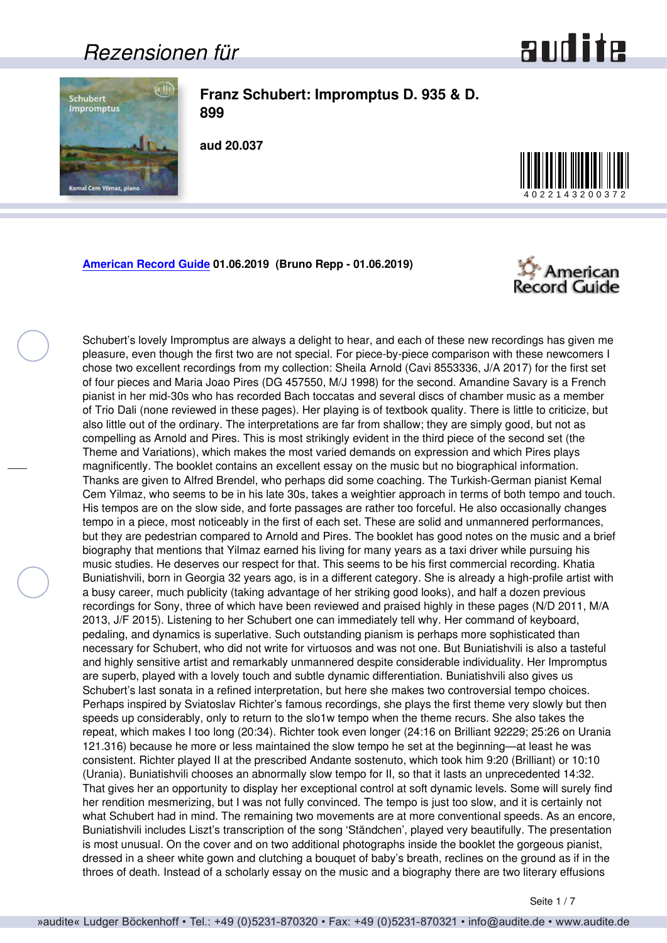#### <span id="page-0-0"></span>*Rezensionen für*





**Franz Schubert: Impromptus D. 935 & D. 899**

**aud 20.037**



**[American Record Guide](http://www.americanrecordguide.com) 01.06.2019 (Bruno Repp - 01.06.2019)**



Schubert's lovely Impromptus are always a delight to hear, and each of these new recordings has given me pleasure, even though the first two are not special. For piece-by-piece comparison with these newcomers I chose two excellent recordings from my collection: Sheila Arnold (Cavi 8553336, J/A 2017) for the first set of four pieces and Maria Joao Pires (DG 457550, M/J 1998) for the second. Amandine Savary is a French pianist in her mid-30s who has recorded Bach toccatas and several discs of chamber music as a member of Trio Dali (none reviewed in these pages). Her playing is of textbook quality. There is little to criticize, but also little out of the ordinary. The interpretations are far from shallow; they are simply good, but not as compelling as Arnold and Pires. This is most strikingly evident in the third piece of the second set (the Theme and Variations), which makes the most varied demands on expression and which Pires plays magnificently. The booklet contains an excellent essay on the music but no biographical information. Thanks are given to Alfred Brendel, who perhaps did some coaching. The Turkish-German pianist Kemal Cem Yilmaz, who seems to be in his late 30s, takes a weightier approach in terms of both tempo and touch. His tempos are on the slow side, and forte passages are rather too forceful. He also occasionally changes tempo in a piece, most noticeably in the first of each set. These are solid and unmannered performances, but they are pedestrian compared to Arnold and Pires. The booklet has good notes on the music and a brief biography that mentions that Yilmaz earned his living for many years as a taxi driver while pursuing his music studies. He deserves our respect for that. This seems to be his first commercial recording. Khatia Buniatishvili, born in Georgia 32 years ago, is in a different category. She is already a high-profile artist with a busy career, much publicity (taking advantage of her striking good looks), and half a dozen previous recordings for Sony, three of which have been reviewed and praised highly in these pages (N/D 2011, M/A 2013, J/F 2015). Listening to her Schubert one can immediately tell why. Her command of keyboard, pedaling, and dynamics is superlative. Such outstanding pianism is perhaps more sophisticated than necessary for Schubert, who did not write for virtuosos and was not one. But Buniatishvili is also a tasteful and highly sensitive artist and remarkably unmannered despite considerable individuality. Her Impromptus are superb, played with a lovely touch and subtle dynamic differentiation. Buniatishvili also gives us Schubert's last sonata in a refined interpretation, but here she makes two controversial tempo choices. Perhaps inspired by Sviatoslav Richter's famous recordings, she plays the first theme very slowly but then speeds up considerably, only to return to the slo1w tempo when the theme recurs. She also takes the repeat, which makes I too long (20:34). Richter took even longer (24:16 on Brilliant 92229; 25:26 on Urania 121.316) because he more or less maintained the slow tempo he set at the beginning—at least he was consistent. Richter played II at the prescribed Andante sostenuto, which took him 9:20 (Brilliant) or 10:10 (Urania). Buniatishvili chooses an abnormally slow tempo for II, so that it lasts an unprecedented 14:32. That gives her an opportunity to display her exceptional control at soft dynamic levels. Some will surely find her rendition mesmerizing, but I was not fully convinced. The tempo is just too slow, and it is certainly not what Schubert had in mind. The remaining two movements are at more conventional speeds. As an encore, Buniatishvili includes Liszt's transcription of the song 'Ständchen', played very beautifully. The presentation is most unusual. On the cover and on two additional photographs inside the booklet the gorgeous pianist, dressed in a sheer white gown and clutching a bouquet of baby's breath, reclines on the ground as if in the throes of death. Instead of a scholarly essay on the music and a biography there are two literary effusions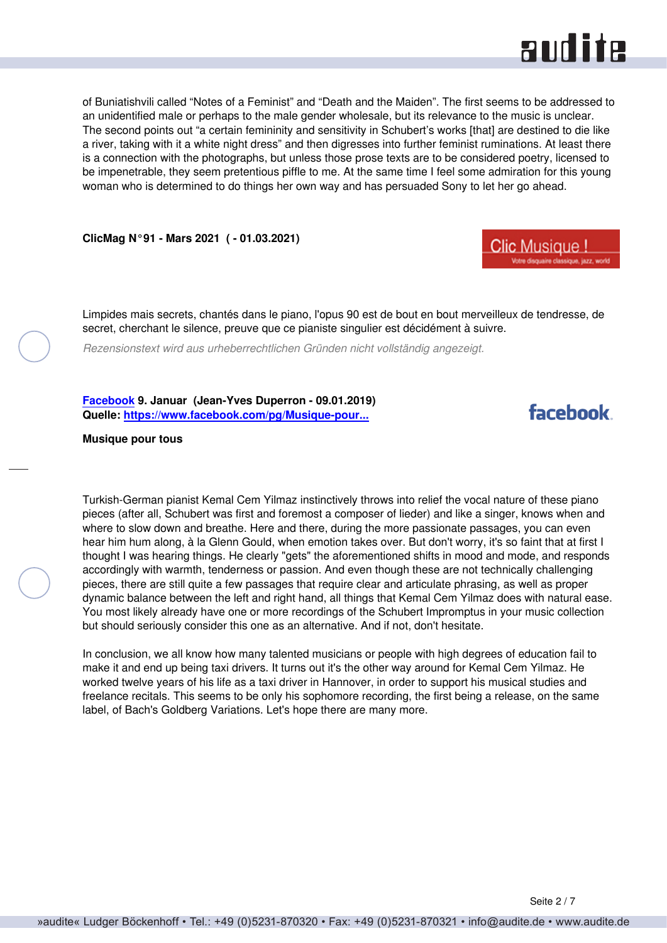

<span id="page-1-0"></span>of Buniatishvili called "Notes of a Feminist" and "Death and the Maiden". The first seems to be addressed to an unidentified male or perhaps to the male gender wholesale, but its relevance to the music is unclear. The second points out "a certain femininity and sensitivity in Schubert's works [that] are destined to die like a river, taking with it a white night dress" and then digresses into further feminist ruminations. At least there is a connection with the photographs, but unless those prose texts are to be considered poetry, licensed to be impenetrable, they seem pretentious piffle to me. At the same time I feel some admiration for this young woman who is determined to do things her own way and has persuaded Sony to let her go ahead.

**ClicMag N°91 - Mars 2021 ( - 01.03.2021)**



Limpides mais secrets, chantés dans le piano, l'opus 90 est de bout en bout merveilleux de tendresse, de secret, cherchant le silence, preuve que ce pianiste singulier est décidément à suivre.

*Rezensionstext wird aus urheberrechtlichen Gründen nicht vollständig angezeigt.*

**[Facebook](https://www.facebook.com) 9. Januar (Jean-Yves Duperron - 09.01.2019) Quelle: [https://www.facebook.com/pg/Musique-pour...](https://www.facebook.com/pg/Musique-pour-tous-256938057847879/posts/)**

#### facebook

#### **Musique pour tous**

Turkish-German pianist Kemal Cem Yilmaz instinctively throws into relief the vocal nature of these piano pieces (after all, Schubert was first and foremost a composer of lieder) and like a singer, knows when and where to slow down and breathe. Here and there, during the more passionate passages, you can even hear him hum along, à la Glenn Gould, when emotion takes over. But don't worry, it's so faint that at first I thought I was hearing things. He clearly "gets" the aforementioned shifts in mood and mode, and responds accordingly with warmth, tenderness or passion. And even though these are not technically challenging pieces, there are still quite a few passages that require clear and articulate phrasing, as well as proper dynamic balance between the left and right hand, all things that Kemal Cem Yilmaz does with natural ease. You most likely already have one or more recordings of the Schubert Impromptus in your music collection but should seriously consider this one as an alternative. And if not, don't hesitate.

In conclusion, we all know how many talented musicians or people with high degrees of education fail to make it and end up being taxi drivers. It turns out it's the other way around for Kemal Cem Yilmaz. He worked twelve years of his life as a taxi driver in Hannover, in order to support his musical studies and freelance recitals. This seems to be only his sophomore recording, the first being a release, on the same label, of Bach's Goldberg Variations. Let's hope there are many more.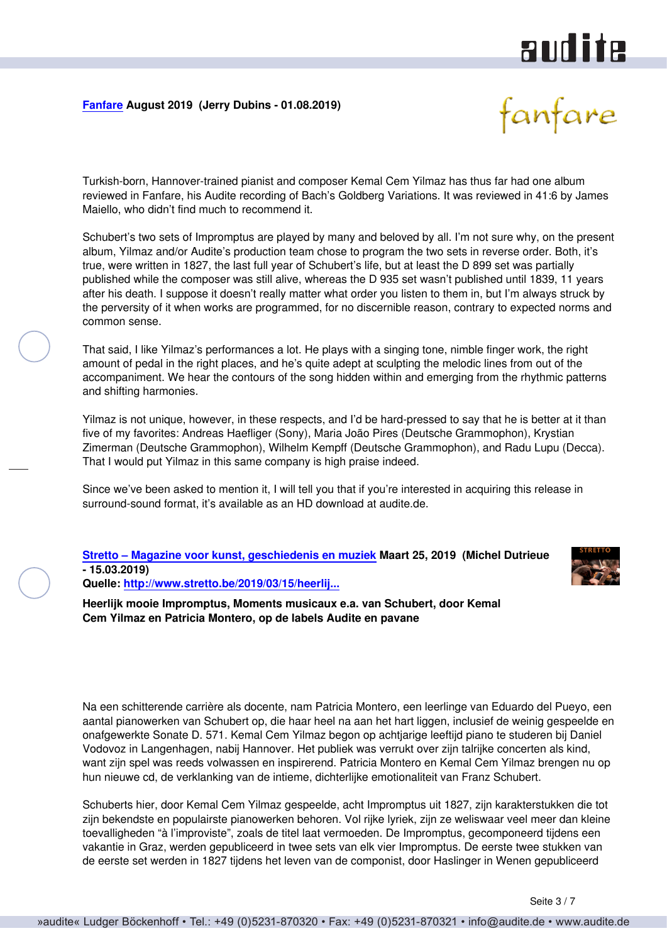# audite

#### <span id="page-2-0"></span>**[Fanfare](http://www.fanfaremag.com/) August 2019 (Jerry Dubins - 01.08.2019)**



Turkish-born, Hannover-trained pianist and composer Kemal Cem Yilmaz has thus far had one album reviewed in Fanfare, his Audite recording of Bach's Goldberg Variations. It was reviewed in 41:6 by James Maiello, who didn't find much to recommend it.

Schubert's two sets of Impromptus are played by many and beloved by all. I'm not sure why, on the present album, Yilmaz and/or Audite's production team chose to program the two sets in reverse order. Both, it's true, were written in 1827, the last full year of Schubert's life, but at least the D 899 set was partially published while the composer was still alive, whereas the D 935 set wasn't published until 1839, 11 years after his death. I suppose it doesn't really matter what order you listen to them in, but I'm always struck by the perversity of it when works are programmed, for no discernible reason, contrary to expected norms and common sense.

That said, I like Yilmaz's performances a lot. He plays with a singing tone, nimble finger work, the right amount of pedal in the right places, and he's quite adept at sculpting the melodic lines from out of the accompaniment. We hear the contours of the song hidden within and emerging from the rhythmic patterns and shifting harmonies.

Yilmaz is not unique, however, in these respects, and I'd be hard-pressed to say that he is better at it than five of my favorites: Andreas Haefliger (Sony), Maria João Pires (Deutsche Grammophon), Krystian Zimerman (Deutsche Grammophon), Wilhelm Kempff (Deutsche Grammophon), and Radu Lupu (Decca). That I would put Yilmaz in this same company is high praise indeed.

Since we've been asked to mention it, I will tell you that if you're interested in acquiring this release in surround-sound format, it's available as an HD download at audite.de.

**[Stretto – Magazine voor kunst, geschiedenis en muziek](http://www.stretto.be) Maart 25, 2019 (Michel Dutrieue - 15.03.2019) Quelle: [http://www.stretto.be/2019/03/15/heerlij...](http://www.stretto.be/2019/03/15/heerlijk-mooie-impromptus-moments-musicaux-e-a-van-schubert-door-kemal-cem-yilmaz-en-patricia-m)**



**Heerlijk mooie Impromptus, Moments musicaux e.a. van Schubert, door Kemal**

**Cem Yilmaz en Patricia Montero, op de labels Audite en pavane**

Na een schitterende carrière als docente, nam Patricia Montero, een leerlinge van Eduardo del Pueyo, een aantal pianowerken van Schubert op, die haar heel na aan het hart liggen, inclusief de weinig gespeelde en onafgewerkte Sonate D. 571. Kemal Cem Yilmaz begon op achtjarige leeftijd piano te studeren bij Daniel Vodovoz in Langenhagen, nabij Hannover. Het publiek was verrukt over zijn talrijke concerten als kind, want zijn spel was reeds volwassen en inspirerend. Patricia Montero en Kemal Cem Yilmaz brengen nu op hun nieuwe cd, de verklanking van de intieme, dichterlijke emotionaliteit van Franz Schubert.

Schuberts hier, door Kemal Cem Yilmaz gespeelde, acht Impromptus uit 1827, zijn karakterstukken die tot zijn bekendste en populairste pianowerken behoren. Vol rijke lyriek, zijn ze weliswaar veel meer dan kleine toevalligheden "à l'improviste", zoals de titel laat vermoeden. De Impromptus, gecomponeerd tijdens een vakantie in Graz, werden gepubliceerd in twee sets van elk vier Impromptus. De eerste twee stukken van de eerste set werden in 1827 tijdens het leven van de componist, door Haslinger in Wenen gepubliceerd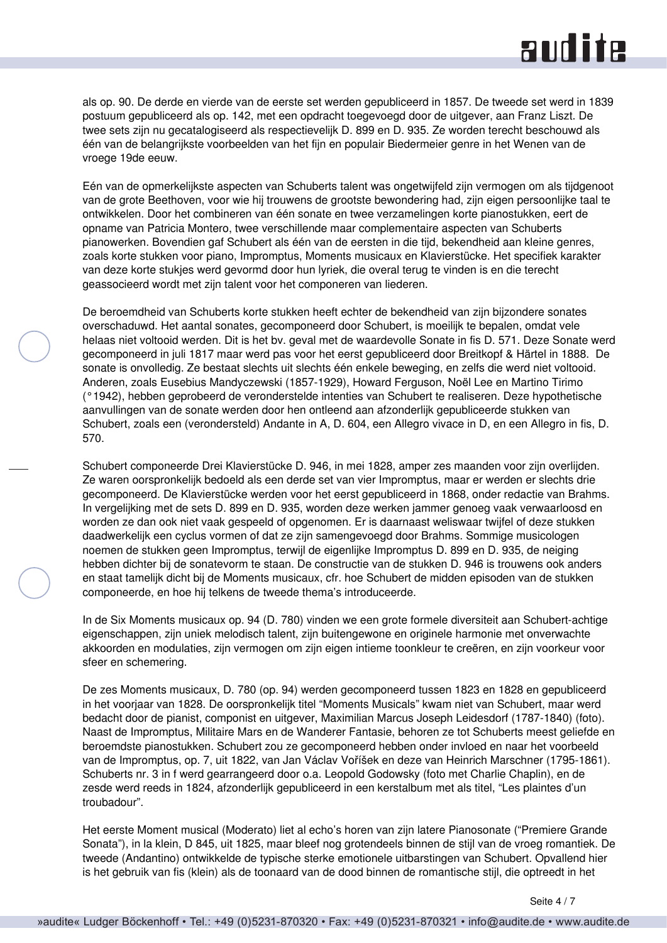### **RUD ite**

als op. 90. De derde en vierde van de eerste set werden gepubliceerd in 1857. De tweede set werd in 1839 postuum gepubliceerd als op. 142, met een opdracht toegevoegd door de uitgever, aan Franz Liszt. De twee sets zijn nu gecatalogiseerd als respectievelijk D. 899 en D. 935. Ze worden terecht beschouwd als één van de belangrijkste voorbeelden van het fijn en populair Biedermeier genre in het Wenen van de vroege 19de eeuw.

Eén van de opmerkelijkste aspecten van Schuberts talent was ongetwijfeld zijn vermogen om als tijdgenoot van de grote Beethoven, voor wie hij trouwens de grootste bewondering had, zijn eigen persoonlijke taal te ontwikkelen. Door het combineren van één sonate en twee verzamelingen korte pianostukken, eert de opname van Patricia Montero, twee verschillende maar complementaire aspecten van Schuberts pianowerken. Bovendien gaf Schubert als één van de eersten in die tijd, bekendheid aan kleine genres, zoals korte stukken voor piano, Impromptus, Moments musicaux en Klavierstücke. Het specifiek karakter van deze korte stukjes werd gevormd door hun lyriek, die overal terug te vinden is en die terecht geassocieerd wordt met zijn talent voor het componeren van liederen.

De beroemdheid van Schuberts korte stukken heeft echter de bekendheid van zijn bijzondere sonates overschaduwd. Het aantal sonates, gecomponeerd door Schubert, is moeilijk te bepalen, omdat vele helaas niet voltooid werden. Dit is het bv. geval met de waardevolle Sonate in fis D. 571. Deze Sonate werd gecomponeerd in juli 1817 maar werd pas voor het eerst gepubliceerd door Breitkopf & Härtel in 1888. De sonate is onvolledig. Ze bestaat slechts uit slechts één enkele beweging, en zelfs die werd niet voltooid. Anderen, zoals Eusebius Mandyczewski (1857-1929), Howard Ferguson, Noël Lee en Martino Tirimo (°1942), hebben geprobeerd de veronderstelde intenties van Schubert te realiseren. Deze hypothetische aanvullingen van de sonate werden door hen ontleend aan afzonderlijk gepubliceerde stukken van Schubert, zoals een (verondersteld) Andante in A, D. 604, een Allegro vivace in D, en een Allegro in fis, D. 570.

Schubert componeerde Drei Klavierstücke D. 946, in mei 1828, amper zes maanden voor zijn overlijden. Ze waren oorspronkelijk bedoeld als een derde set van vier Impromptus, maar er werden er slechts drie gecomponeerd. De Klavierstücke werden voor het eerst gepubliceerd in 1868, onder redactie van Brahms. In vergelijking met de sets D. 899 en D. 935, worden deze werken jammer genoeg vaak verwaarloosd en worden ze dan ook niet vaak gespeeld of opgenomen. Er is daarnaast weliswaar twijfel of deze stukken daadwerkelijk een cyclus vormen of dat ze zijn samengevoegd door Brahms. Sommige musicologen noemen de stukken geen Impromptus, terwijl de eigenlijke Impromptus D. 899 en D. 935, de neiging hebben dichter bij de sonatevorm te staan. De constructie van de stukken D. 946 is trouwens ook anders en staat tamelijk dicht bij de Moments musicaux, cfr. hoe Schubert de midden episoden van de stukken componeerde, en hoe hij telkens de tweede thema's introduceerde.

In de Six Moments musicaux op. 94 (D. 780) vinden we een grote formele diversiteit aan Schubert-achtige eigenschappen, zijn uniek melodisch talent, zijn buitengewone en originele harmonie met onverwachte akkoorden en modulaties, zijn vermogen om zijn eigen intieme toonkleur te creëren, en zijn voorkeur voor sfeer en schemering.

De zes Moments musicaux, D. 780 (op. 94) werden gecomponeerd tussen 1823 en 1828 en gepubliceerd in het voorjaar van 1828. De oorspronkelijk titel "Moments Musicals" kwam niet van Schubert, maar werd bedacht door de pianist, componist en uitgever, Maximilian Marcus Joseph Leidesdorf (1787-1840) (foto). Naast de Impromptus, Militaire Mars en de Wanderer Fantasie, behoren ze tot Schuberts meest geliefde en beroemdste pianostukken. Schubert zou ze gecomponeerd hebben onder invloed en naar het voorbeeld van de Impromptus, op. 7, uit 1822, van Jan Václav Voříšek en deze van Heinrich Marschner (1795-1861). Schuberts nr. 3 in f werd gearrangeerd door o.a. Leopold Godowsky (foto met Charlie Chaplin), en de zesde werd reeds in 1824, afzonderlijk gepubliceerd in een kerstalbum met als titel, "Les plaintes d'un troubadour".

Het eerste Moment musical (Moderato) liet al echo's horen van zijn latere Pianosonate ("Premiere Grande Sonata"), in la klein, D 845, uit 1825, maar bleef nog grotendeels binnen de stijl van de vroeg romantiek. De tweede (Andantino) ontwikkelde de typische sterke emotionele uitbarstingen van Schubert. Opvallend hier is het gebruik van fis (klein) als de toonaard van de dood binnen de romantische stijl, die optreedt in het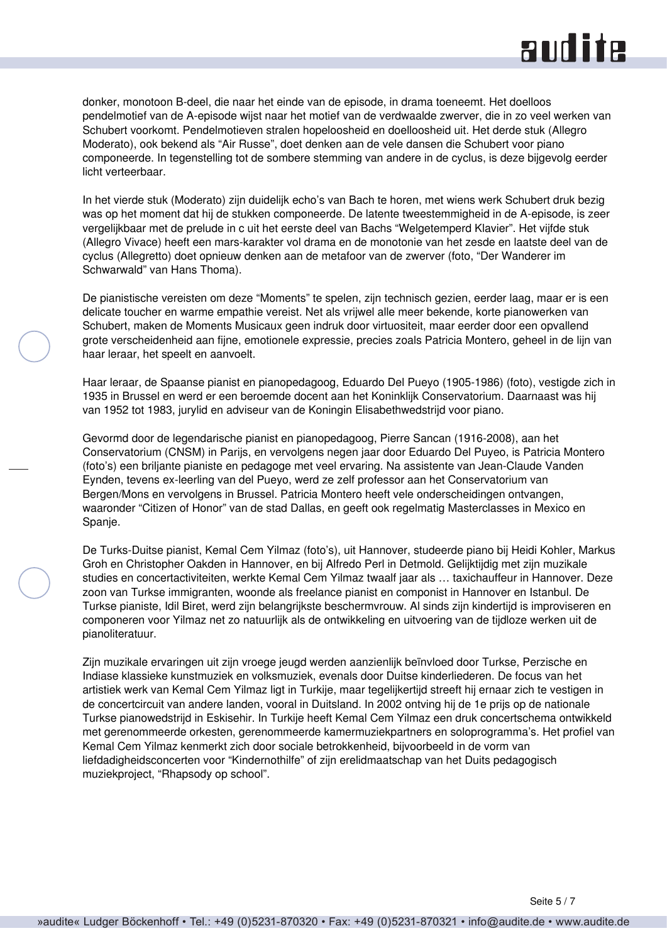### **RUD ite**

donker, monotoon B-deel, die naar het einde van de episode, in drama toeneemt. Het doelloos pendelmotief van de A-episode wijst naar het motief van de verdwaalde zwerver, die in zo veel werken van Schubert voorkomt. Pendelmotieven stralen hopeloosheid en doelloosheid uit. Het derde stuk (Allegro Moderato), ook bekend als "Air Russe", doet denken aan de vele dansen die Schubert voor piano componeerde. In tegenstelling tot de sombere stemming van andere in de cyclus, is deze bijgevolg eerder licht verteerbaar.

In het vierde stuk (Moderato) zijn duidelijk echo's van Bach te horen, met wiens werk Schubert druk bezig was op het moment dat hij de stukken componeerde. De latente tweestemmigheid in de A-episode, is zeer vergelijkbaar met de prelude in c uit het eerste deel van Bachs "Welgetemperd Klavier". Het vijfde stuk (Allegro Vivace) heeft een mars-karakter vol drama en de monotonie van het zesde en laatste deel van de cyclus (Allegretto) doet opnieuw denken aan de metafoor van de zwerver (foto, "Der Wanderer im Schwarwald" van Hans Thoma).

De pianistische vereisten om deze "Moments" te spelen, zijn technisch gezien, eerder laag, maar er is een delicate toucher en warme empathie vereist. Net als vrijwel alle meer bekende, korte pianowerken van Schubert, maken de Moments Musicaux geen indruk door virtuositeit, maar eerder door een opvallend grote verscheidenheid aan fijne, emotionele expressie, precies zoals Patricia Montero, geheel in de lijn van haar leraar, het speelt en aanvoelt.

Haar leraar, de Spaanse pianist en pianopedagoog, Eduardo Del Pueyo (1905-1986) (foto), vestigde zich in 1935 in Brussel en werd er een beroemde docent aan het Koninklijk Conservatorium. Daarnaast was hij van 1952 tot 1983, jurylid en adviseur van de Koningin Elisabethwedstrijd voor piano.

Gevormd door de legendarische pianist en pianopedagoog, Pierre Sancan (1916-2008), aan het Conservatorium (CNSM) in Parijs, en vervolgens negen jaar door Eduardo Del Puyeo, is Patricia Montero (foto's) een briljante pianiste en pedagoge met veel ervaring. Na assistente van Jean-Claude Vanden Eynden, tevens ex-leerling van del Pueyo, werd ze zelf professor aan het Conservatorium van Bergen/Mons en vervolgens in Brussel. Patricia Montero heeft vele onderscheidingen ontvangen, waaronder "Citizen of Honor" van de stad Dallas, en geeft ook regelmatig Masterclasses in Mexico en Spanje.

De Turks-Duitse pianist, Kemal Cem Yilmaz (foto's), uit Hannover, studeerde piano bij Heidi Kohler, Markus Groh en Christopher Oakden in Hannover, en bij Alfredo Perl in Detmold. Gelijktijdig met zijn muzikale studies en concertactiviteiten, werkte Kemal Cem Yilmaz twaalf jaar als … taxichauffeur in Hannover. Deze zoon van Turkse immigranten, woonde als freelance pianist en componist in Hannover en Istanbul. De Turkse pianiste, Idil Biret, werd zijn belangrijkste beschermvrouw. Al sinds zijn kindertijd is improviseren en componeren voor Yilmaz net zo natuurlijk als de ontwikkeling en uitvoering van de tijdloze werken uit de pianoliteratuur.

Zijn muzikale ervaringen uit zijn vroege jeugd werden aanzienlijk beïnvloed door Turkse, Perzische en Indiase klassieke kunstmuziek en volksmuziek, evenals door Duitse kinderliederen. De focus van het artistiek werk van Kemal Cem Yilmaz ligt in Turkije, maar tegelijkertijd streeft hij ernaar zich te vestigen in de concertcircuit van andere landen, vooral in Duitsland. In 2002 ontving hij de 1e prijs op de nationale Turkse pianowedstrijd in Eskisehir. In Turkije heeft Kemal Cem Yilmaz een druk concertschema ontwikkeld met gerenommeerde orkesten, gerenommeerde kamermuziekpartners en soloprogramma's. Het profiel van Kemal Cem Yilmaz kenmerkt zich door sociale betrokkenheid, bijvoorbeeld in de vorm van liefdadigheidsconcerten voor "Kindernothilfe" of zijn erelidmaatschap van het Duits pedagogisch muziekproject, "Rhapsody op school".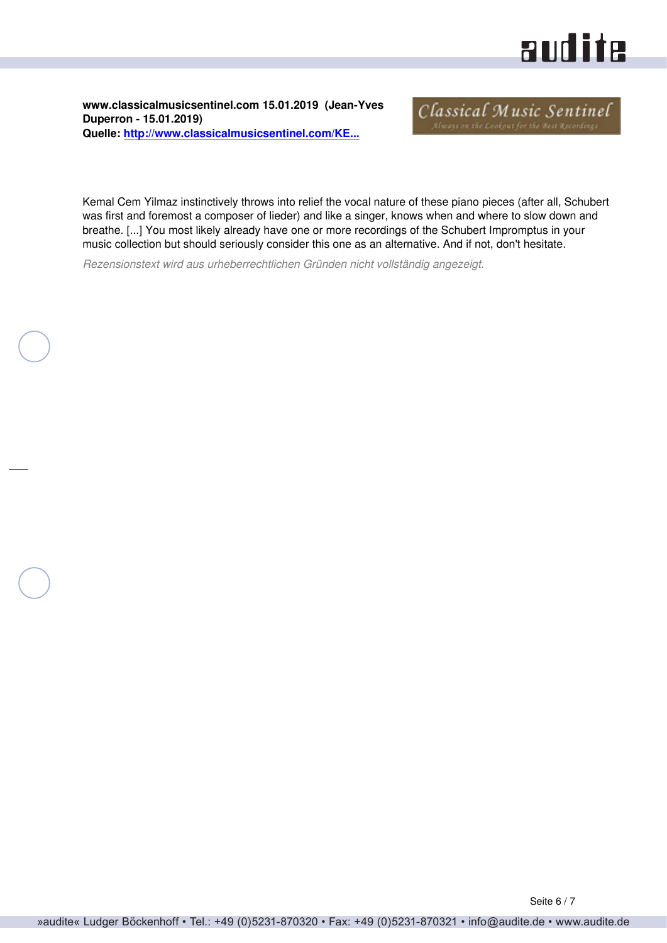## audite

<span id="page-5-0"></span>**www.classicalmusicsentinel.com 15.01.2019 (Jean-Yves Duperron - 15.01.2019) Quelle: [http://www.classicalmusicsentinel.com/KE...](http://www.classicalmusicsentinel.com/KEEP/schubert-yilmaz.html)**

Classical Music Sentinel

Kemal Cem Yilmaz instinctively throws into relief the vocal nature of these piano pieces (after all, Schubert was first and foremost a composer of lieder) and like a singer, knows when and where to slow down and breathe. [...] You most likely already have one or more recordings of the Schubert Impromptus in your music collection but should seriously consider this one as an alternative. And if not, don't hesitate.

*Rezensionstext wird aus urheberrechtlichen Gründen nicht vollständig angezeigt.*